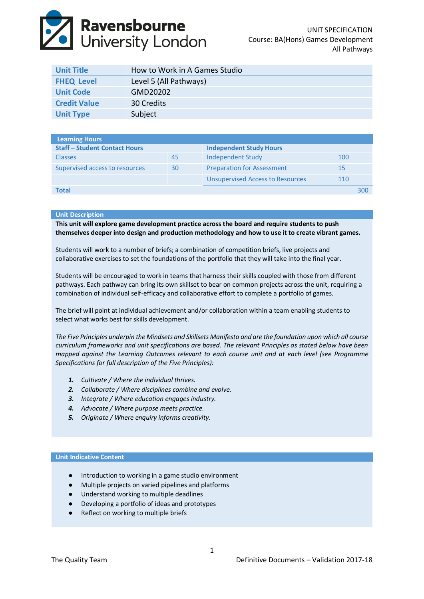# **Ravensbourne**<br>University London

| <b>Unit Title</b>   | How to Work in A Games Studio |
|---------------------|-------------------------------|
| <b>FHEQ Level</b>   | Level 5 (All Pathways)        |
| <b>Unit Code</b>    | GMD20202                      |
| <b>Credit Value</b> | 30 Credits                    |
| <b>Unit Type</b>    | Subject                       |

| Learning Hours                       |    |                                         |     |     |
|--------------------------------------|----|-----------------------------------------|-----|-----|
| <b>Staff - Student Contact Hours</b> |    | <b>Independent Study Hours</b>          |     |     |
| <b>Classes</b>                       | 45 | Independent Study                       | 100 |     |
| Supervised access to resources       | 30 | <b>Preparation for Assessment</b>       | 15  |     |
|                                      |    | <b>Unsupervised Access to Resources</b> | 110 |     |
| <b>Total</b>                         |    |                                         |     | 300 |

# **Unit Description**

**This unit will explore game development practice across the board and require students to push themselves deeper into design and production methodology and how to use it to create vibrant games.**

Students will work to a number of briefs; a combination of competition briefs, live projects and collaborative exercises to set the foundations of the portfolio that they will take into the final year.

Students will be encouraged to work in teams that harness their skills coupled with those from different pathways. Each pathway can bring its own skillset to bear on common projects across the unit, requiring a combination of individual self-efficacy and collaborative effort to complete a portfolio of games.

The brief will point at individual achievement and/or collaboration within a team enabling students to select what works best for skills development.

*The Five Principles underpin the Mindsets and Skillsets Manifesto and are the foundation upon which all course curriculum frameworks and unit specifications are based. The relevant Principles as stated below have been mapped against the Learning Outcomes relevant to each course unit and at each level (see Programme Specifications for full description of the Five Principles):*

- *1. Cultivate / Where the individual thrives.*
- *2. Collaborate / Where disciplines combine and evolve.*
- *3. Integrate / Where education engages industry.*
- *4. Advocate / Where purpose meets practice.*
- *5. Originate / Where enquiry informs creativity.*

#### **Unit Indicative Content**

- Introduction to working in a game studio environment
- Multiple projects on varied pipelines and platforms
- Understand working to multiple deadlines
- Developing a portfolio of ideas and prototypes
- Reflect on working to multiple briefs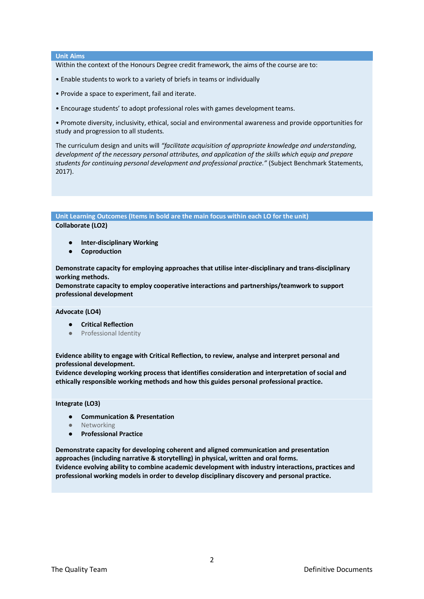#### **Unit Aims**

Within the context of the Honours Degree credit framework, the aims of the course are to:

- Enable students to work to a variety of briefs in teams or individually
- Provide a space to experiment, fail and iterate.
- Encourage students' to adopt professional roles with games development teams.

• Promote diversity, inclusivity, ethical, social and environmental awareness and provide opportunities for study and progression to all students.

The curriculum design and units will *"facilitate acquisition of appropriate knowledge and understanding, development of the necessary personal attributes, and application of the skills which equip and prepare students for continuing personal development and professional practice."* (Subject Benchmark Statements, 2017).

# **Unit Learning Outcomes (Items in bold are the main focus within each LO for the unit) Collaborate (LO2)**

- **Inter-disciplinary Working**
- **Coproduction**

**Demonstrate capacity for employing approaches that utilise inter-disciplinary and trans-disciplinary working methods.**

**Demonstrate capacity to employ cooperative interactions and partnerships/teamwork to support professional development**

#### **Advocate (LO4)**

- **Critical Reflection**
- Professional Identity

**Evidence ability to engage with Critical Reflection, to review, analyse and interpret personal and professional development.** 

**Evidence developing working process that identifies consideration and interpretation of social and ethically responsible working methods and how this guides personal professional practice.**

## **Integrate (LO3)**

- **Communication & Presentation**
- **Networking**
- **Professional Practice**

**Demonstrate capacity for developing coherent and aligned communication and presentation approaches (including narrative & storytelling) in physical, written and oral forms. Evidence evolving ability to combine academic development with industry interactions, practices and professional working models in order to develop disciplinary discovery and personal practice.**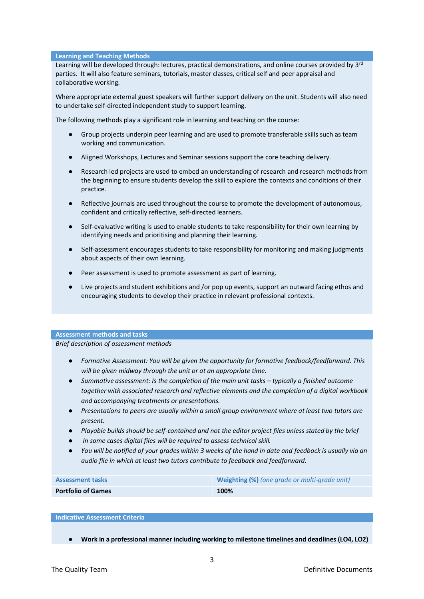## **Learning and Teaching Methods**

Learning will be developed through: lectures, practical demonstrations, and online courses provided by 3<sup>rd</sup> parties. It will also feature seminars, tutorials, master classes, critical self and peer appraisal and collaborative working.

Where appropriate external guest speakers will further support delivery on the unit. Students will also need to undertake self‐directed independent study to support learning.

The following methods play a significant role in learning and teaching on the course:

- Group projects underpin peer learning and are used to promote transferable skills such as team working and communication.
- Aligned Workshops, Lectures and Seminar sessions support the core teaching delivery.
- Research led projects are used to embed an understanding of research and research methods from the beginning to ensure students develop the skill to explore the contexts and conditions of their practice.
- Reflective journals are used throughout the course to promote the development of autonomous, confident and critically reflective, self‐directed learners.
- Self-evaluative writing is used to enable students to take responsibility for their own learning by identifying needs and prioritising and planning their learning.
- Self-assessment encourages students to take responsibility for monitoring and making judgments about aspects of their own learning.
- Peer assessment is used to promote assessment as part of learning.
- Live projects and student exhibitions and /or pop up events, support an outward facing ethos and encouraging students to develop their practice in relevant professional contexts.

## **Assessment methods and tasks**

*Brief description of assessment methods*

- *Formative Assessment: You will be given the opportunity for formative feedback/feedforward. This will be given midway through the unit or at an appropriate time.*
- *Summative assessment: Is the completion of the main unit tasks typically a finished outcome together with associated research and reflective elements and the completion of a digital workbook and accompanying treatments or presentations.*
- *Presentations to peers are usually within a small group environment where at least two tutors are present.*
- Playable builds should be self-contained and not the editor project files unless stated by the brief
- *In some cases digital files will be required to assess technical skill.*
- You will be notified of your grades within 3 weeks of the hand in date and feedback is usually via an *audio file in which at least two tutors contribute to feedback and feedforward.*

| <b>Assessment tasks</b>   | Weighting (%) (one grade or multi-grade unit) |  |  |
|---------------------------|-----------------------------------------------|--|--|
| <b>Portfolio of Games</b> | 100%                                          |  |  |

### **Indicative Assessment Criteria**

● **Work in a professional manner including working to milestone timelines and deadlines (LO4, LO2)**